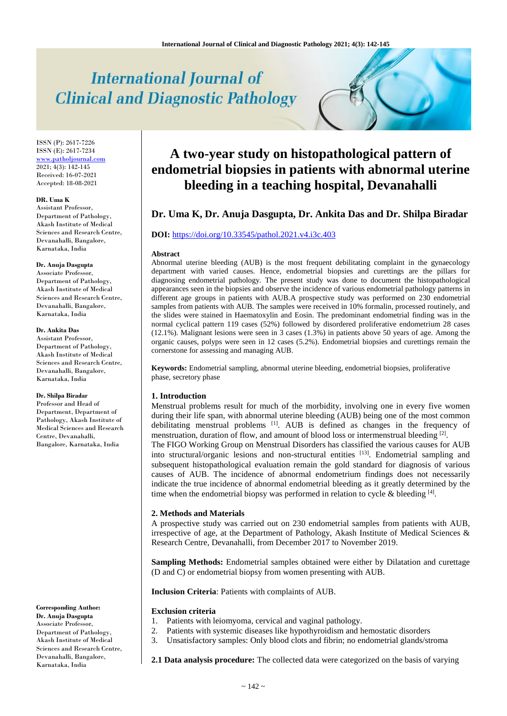# **International Journal of Clinical and Diagnostic Pathology**

ISSN (P): 2617-7226 ISSN (E): 2617-7234 [www.patholjournal.com](http://www.patholjournal.com/)  $2021; 4(3): 142-145$ Received: 16-07-2021 Accepted: 18-08-2021

#### **DR. Uma K**

Assistant Professor, Department of Pathology, Akash Institute of Medical Sciences and Research Centre, Devanahalli, Bangalore, Karnataka, India

#### **Dr. Anuja Dasgupta**

Associate Professor, Department of Pathology, Akash Institute of Medical Sciences and Research Centre, Devanahalli, Bangalore, Karnataka, India

## **Dr. Ankita Das**

Assistant Professor, Department of Pathology, Akash Institute of Medical Sciences and Research Centre, Devanahalli, Bangalore, Karnataka, India

#### **Dr. Shilpa Biradar**

Professor and Head of Department, Department of Pathology, Akash Institute of Medical Sciences and Research Centre, Devanahalli, Bangalore, Karnataka, India

**Corresponding Author: Dr. Anuja Dasgupta** Associate Professor, Department of Pathology, Akash Institute of Medical Sciences and Research Centre, Devanahalli, Bangalore, Karnataka, India

# **A two-year study on histopathological pattern of endometrial biopsies in patients with abnormal uterine bleeding in a teaching hospital, Devanahalli**

# **Dr. Uma K, Dr. Anuja Dasgupta, Dr. Ankita Das and Dr. Shilpa Biradar**

#### **DOI:** <https://doi.org/10.33545/pathol.2021.v4.i3c.403>

#### **Abstract**

Abnormal uterine bleeding (AUB) is the most frequent debilitating complaint in the gynaecology department with varied causes. Hence, endometrial biopsies and curettings are the pillars for diagnosing endometrial pathology. The present study was done to document the histopathological appearances seen in the biopsies and observe the incidence of various endometrial pathology patterns in different age groups in patients with AUB.A prospective study was performed on 230 endometrial samples from patients with AUB. The samples were received in 10% formalin, processed routinely, and the slides were stained in Haematoxylin and Eosin. The predominant endometrial finding was in the normal cyclical pattern 119 cases (52%) followed by disordered proliferative endometrium 28 cases (12.1%). Malignant lesions were seen in 3 cases (1.3%) in patients above 50 years of age. Among the organic causes, polyps were seen in 12 cases (5.2%). Endometrial biopsies and curettings remain the cornerstone for assessing and managing AUB.

**Keywords:** Endometrial sampling, abnormal uterine bleeding, endometrial biopsies, proliferative phase, secretory phase

#### **1. Introduction**

Menstrual problems result for much of the morbidity, involving one in every five women during their life span, with abnormal uterine bleeding (AUB) being one of the most common debilitating menstrual problems <sup>[1]</sup>. AUB is defined as changes in the frequency of menstruation, duration of flow, and amount of blood loss or intermenstrual bleeding [2].

The FIGO Working Group on Menstrual Disorders has classified the various causes for AUB into structural/organic lesions and non-structural entities [13]. Endometrial sampling and subsequent histopathological evaluation remain the gold standard for diagnosis of various causes of AUB. The incidence of abnormal endometrium findings does not necessarily indicate the true incidence of abnormal endometrial bleeding as it greatly determined by the time when the endometrial biopsy was performed in relation to cycle & bleeding [4].

#### **2. Methods and Materials**

A prospective study was carried out on 230 endometrial samples from patients with AUB, irrespective of age, at the Department of Pathology, Akash Institute of Medical Sciences & Research Centre, Devanahalli, from December 2017 to November 2019.

**Sampling Methods:** Endometrial samples obtained were either by Dilatation and curettage (D and C) or endometrial biopsy from women presenting with AUB.

**Inclusion Criteria**: Patients with complaints of AUB.

#### **Exclusion criteria**

- 1. Patients with leiomyoma, cervical and vaginal pathology.
- 2. Patients with systemic diseases like hypothyroidism and hemostatic disorders
- 3. Unsatisfactory samples: Only blood clots and fibrin; no endometrial glands/stroma

**2.1 Data analysis procedure:** The collected data were categorized on the basis of varying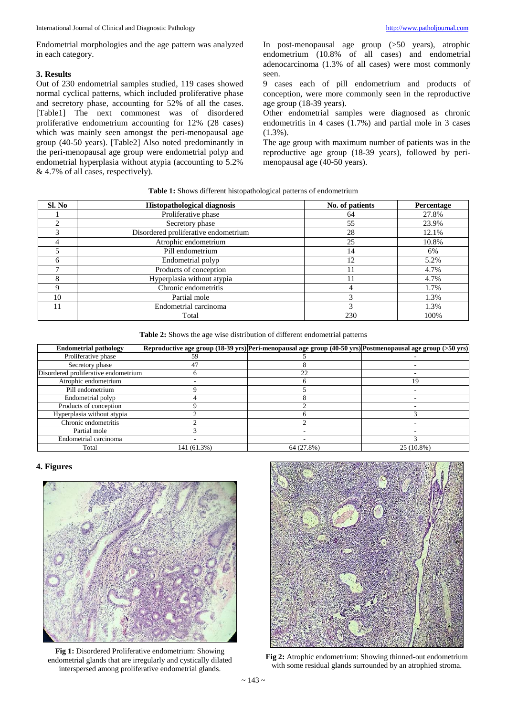Endometrial morphologies and the age pattern was analyzed in each category.

#### **3. Results**

Out of 230 endometrial samples studied, 119 cases showed normal cyclical patterns, which included proliferative phase and secretory phase, accounting for 52% of all the cases. [Table1] The next commonest was of disordered proliferative endometrium accounting for 12% (28 cases) which was mainly seen amongst the peri-menopausal age group (40-50 years). [Table2] Also noted predominantly in the peri-menopausal age group were endometrial polyp and endometrial hyperplasia without atypia (accounting to 5.2% & 4.7% of all cases, respectively).

In post-menopausal age group (>50 years), atrophic endometrium (10.8% of all cases) and endometrial adenocarcinoma (1.3% of all cases) were most commonly seen.

9 cases each of pill endometrium and products of conception, were more commonly seen in the reproductive age group (18-39 years).

Other endometrial samples were diagnosed as chronic endometritis in 4 cases (1.7%) and partial mole in 3 cases (1.3%).

The age group with maximum number of patients was in the reproductive age group (18-39 years), followed by perimenopausal age (40-50 years).

#### **Table 1:** Shows different histopathological patterns of endometrium

| Sl. No | <b>Histopathological diagnosis</b>   | No. of patients | <b>Percentage</b> |
|--------|--------------------------------------|-----------------|-------------------|
|        | Proliferative phase                  | 64              | 27.8%             |
| ◠      | Secretory phase                      | 55              | 23.9%             |
|        | Disordered proliferative endometrium | 28              | 12.1%             |
|        | Atrophic endometrium                 | 25              | 10.8%             |
|        | Pill endometrium                     | 14              | 6%                |
| 6      | Endometrial polyp                    | 12              | 5.2%              |
|        | Products of conception               | 11              | 4.7%              |
| 8      | Hyperplasia without atypia           | 11              | 4.7%              |
|        | Chronic endometritis                 |                 | 1.7%              |
| 10     | Partial mole                         | 3               | 1.3%              |
| 11     | Endometrial carcinoma                | 3               | 1.3%              |
|        | Total                                | 230             | 100%              |

**Table 2:** Shows the age wise distribution of different endometrial patterns

| <b>Endometrial pathology</b>         |             | Reproductive age group (18-39 yrs) Peri-menopausal age group (40-50 yrs) Postmenopausal age group (>50 yrs) |            |
|--------------------------------------|-------------|-------------------------------------------------------------------------------------------------------------|------------|
| Proliferative phase                  | 59          |                                                                                                             |            |
| Secretory phase                      |             |                                                                                                             |            |
| Disordered proliferative endometrium |             | 22                                                                                                          |            |
| Atrophic endometrium                 |             |                                                                                                             | 19         |
| Pill endometrium                     |             |                                                                                                             |            |
| Endometrial polyp                    |             |                                                                                                             |            |
| Products of conception               |             |                                                                                                             |            |
| Hyperplasia without atypia           |             |                                                                                                             |            |
| Chronic endometritis                 |             |                                                                                                             |            |
| Partial mole                         |             |                                                                                                             |            |
| Endometrial carcinoma                |             |                                                                                                             |            |
| Total                                | 141 (61.3%) | 64 (27.8%)                                                                                                  | 25 (10.8%) |

#### **4. Figures**



**Fig 1:** Disordered Proliferative endometrium: Showing endometrial glands that are irregularly and cystically dilated interspersed among proliferative endometrial glands.



**Fig 2:** Atrophic endometrium: Showing thinned-out endometrium with some residual glands surrounded by an atrophied stroma.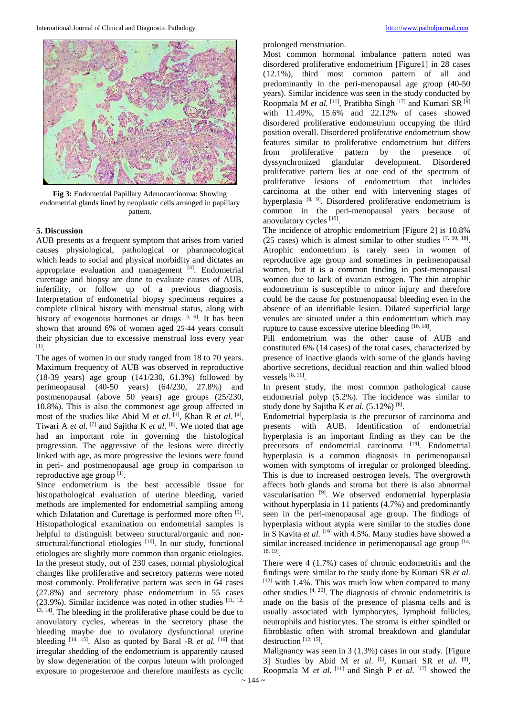

**Fig 3:** Endometrial Papillary Adenocarcinoma: Showing endometrial glands lined by neoplastic cells arranged in papillary pattern.

#### **5. Discussion**

AUB presents as a frequent symptom that arises from varied causes physiological, pathological or pharmacological which leads to social and physical morbidity and dictates an appropriate evaluation and management [4]. Endometrial curettage and biopsy are done to evaluate causes of AUB, infertility, or follow up of a previous diagnosis. Interpretation of endometrial biopsy specimens requires a complete clinical history with menstrual status, along with history of exogenous hormones or drugs [5, 6]. It has been shown that around 6% of women aged 25-44 years consult their physician due to excessive menstrual loss every year [1] .

The ages of women in our study ranged from 18 to 70 years. Maximum frequency of AUB was observed in reproductive (18-39 years) age group (141/230, 61.3%) followed by perimeopausal (40-50 years) (64/230, 27.8%) and postmenopausal (above 50 years) age groups (25/230, 10.8%). This is also the commonest age group affected in most of the studies like Abid M *et al.* [1], Khan R *et al.* [4], Tiwari A *et al.* <sup>[7]</sup> and Sajitha K *et al.* <sup>[8]</sup>. We noted that age had an important role in governing the histological progression. The aggressive of the lesions were directly linked with age, as more progressive the lesions were found in peri- and postmenopausal age group in comparison to reproductive age group [1].

Since endometrium is the best accessible tissue for histopathological evaluation of uterine bleeding, varied methods are implemented for endometrial sampling among which Dilatation and Curettage is performed more often <sup>[9]</sup>. Histopathological examination on endometrial samples is helpful to distinguish between structural/organic and nonstructural/functional etiologies [10]. In our study, functional etiologies are slightly more common than organic etiologies. In the present study, out of 230 cases, normal physiological changes like proliferative and secretory patterns were noted most commonly. Proliferative pattern was seen in 64 cases (27.8%) and secretory phase endometrium in 55 cases  $(23.9\%)$ . Similar incidence was noted in other studies [11, 12, 13, 14] . The bleeding in the proliferative phase could be due to anovulatory cycles, whereas in the secretory phase the bleeding maybe due to ovulatory dysfunctional uterine bleeding <sup>[14, 15]</sup>. Also as quoted by Baral -R *et al.* [16] that irregular shedding of the endometrium is apparently caused by slow degeneration of the corpus luteum with prolonged exposure to progesterone and therefore manifests as cyclic prolonged menstruation.

Most common hormonal imbalance pattern noted was disordered proliferative endometrium [Figure1] in 28 cases (12.1%), third most common pattern of all and predominantly in the peri-menopausal age group (40-50 years). Similar incidence was seen in the study conducted by Roopmala M et al. <sup>[11]</sup>, Pratibha Singh<sup>[17]</sup> and Kumari SR<sup>[9]</sup> with 11.49%, 15.6% and 22.12% of cases showed disordered proliferative endometrium occupying the third position overall. Disordered proliferative endometrium show features similar to proliferative endometrium but differs from proliferative pattern by the presence of dyssynchronized glandular development. Disordered proliferative pattern lies at one end of the spectrum of proliferative lesions of endometrium that includes carcinoma at the other end with intervening stages of hyperplasia<sup>[8, 9]</sup>. Disordered proliferative endometrium is common in the peri-menopausal years because of anovulatory cycles [15].

The incidence of atrophic endometrium [Figure 2] is 10.8% (25 cases) which is almost similar to other studies  $[7, 10, 18]$ . Atrophic endometrium is rarely seen in women of reproductive age group and sometimes in perimenopausal women, but it is a common finding in post-menopausal women due to lack of ovarian estrogen. The thin atrophic endometrium is susceptible to minor injury and therefore could be the cause for postmenopausal bleeding even in the absence of an identifiable lesion. Dilated superficial large venules are situated under a thin endometrium which may rupture to cause excessive uterine bleeding  $[10, 18]$ .

Pill endometrium was the other cause of AUB and constituted 6% (14 cases) of the total cases, characterized by presence of inactive glands with some of the glands having abortive secretions, decidual reaction and thin walled blood vessels  $[8, 11]$ .

In present study, the most common pathological cause endometrial polyp (5.2%). The incidence was similar to study done by Sajitha K et al. (5.12%)<sup>[8]</sup>.

Endometrial hyperplasia is the precursor of carcinoma and presents with AUB. Identification of endometrial hyperplasia is an important finding as they can be the precursors of endometrial carcinoma<sup>[19]</sup>. Endometrial hyperplasia is a common diagnosis in perimenopausal women with symptoms of irregular or prolonged bleeding. This is due to increased oestrogen levels. The overgrowth affects both glands and stroma but there is also abnormal vascularisation <sup>[9]</sup>. We observed endometrial hyperplasia without hyperplasia in 11 patients (4.7%) and predominantly seen in the peri-menopausal age group. The findings of hyperplasia without atypia were similar to the studies done in S Kavita et al. <sup>[19]</sup> with 4.5%. Many studies have showed a similar increased incidence in perimenopausal age group [14, 18, 19] .

There were 4 (1.7%) cases of chronic endometritis and the findings were similar to the study done by Kumari SR *et al.*  $[12]$  with 1.4%. This was much low when compared to many other studies [4, 20] . The diagnosis of chronic endometritis is made on the basis of the presence of plasma cells and is usually associated with lymphocytes, lymphoid follicles, neutrophils and histiocytes. The stroma is either spindled or fibroblastic often with stromal breakdown and glandular destruction [12, 15] .

Malignancy was seen in 3 (1.3%) cases in our study. [Figure 3] Studies by Abid M et al. <sup>[1]</sup>, Kumari SR et al. <sup>[9]</sup>, Roopmala M *et al.* <sup>[11]</sup> and Singh P *et al.* <sup>[17]</sup> showed the